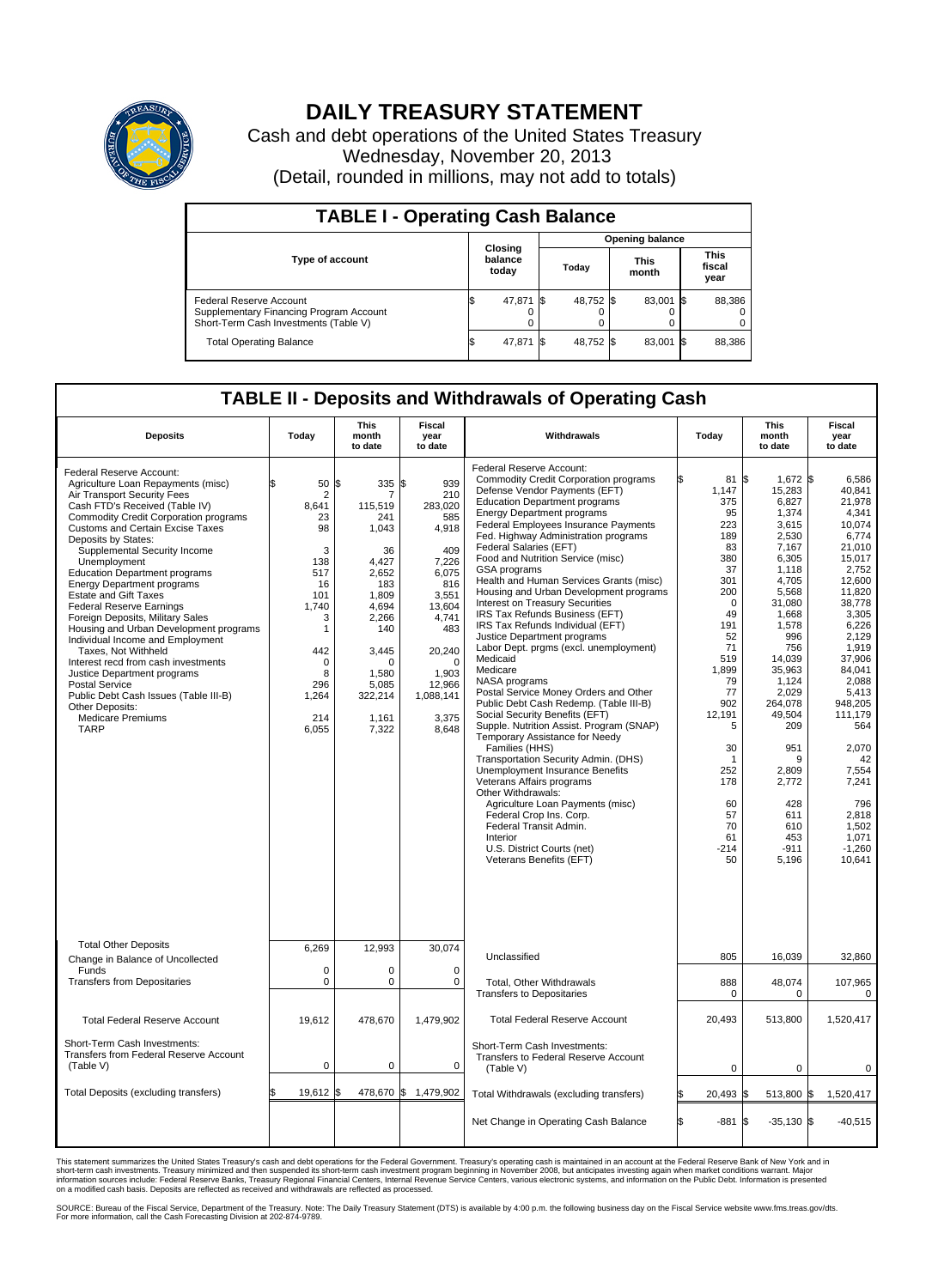

## **DAILY TREASURY STATEMENT**

Cash and debt operations of the United States Treasury Wednesday, November 20, 2013 (Detail, rounded in millions, may not add to totals)

| <b>TABLE I - Operating Cash Balance</b>                                                                     |  |                             |      |                        |  |                      |  |                               |  |  |  |
|-------------------------------------------------------------------------------------------------------------|--|-----------------------------|------|------------------------|--|----------------------|--|-------------------------------|--|--|--|
|                                                                                                             |  |                             |      | <b>Opening balance</b> |  |                      |  |                               |  |  |  |
| <b>Type of account</b>                                                                                      |  | Closing<br>balance<br>today |      | Today                  |  | <b>This</b><br>month |  | <b>This</b><br>fiscal<br>year |  |  |  |
| Federal Reserve Account<br>Supplementary Financing Program Account<br>Short-Term Cash Investments (Table V) |  | 47,871 \$                   |      | 48,752 \$              |  | 83,001 \$            |  | 88,386                        |  |  |  |
| <b>Total Operating Balance</b>                                                                              |  | 47,871                      | -156 | 48,752 \$              |  | 83,001 \$            |  | 88,386                        |  |  |  |

## **TABLE II - Deposits and Withdrawals of Operating Cash**

| <b>Deposits</b>                                                                                                                                                                                                                                                                                                                                                                                                                                                                                                                                                                                                                                                                                                                                                                           | Today                                                                                                                                  | This<br>month<br>to date                                                                                                                                            | <b>Fiscal</b><br>year<br>to date                                                                                                                                                       | Withdrawals                                                                                                                                                                                                                                                                                                                                                                                                                                                                                                                                                                                                                                                                                                                                                                                                                                                                                                                                                                                                                                                                                                                                                                                   | Today                                                                                                                                                                                                                                           | <b>This</b><br>month<br>to date                                                                                                                                                                                                                                                              | Fiscal<br>year<br>to date                                                                                                                                                                                                                                                                                        |
|-------------------------------------------------------------------------------------------------------------------------------------------------------------------------------------------------------------------------------------------------------------------------------------------------------------------------------------------------------------------------------------------------------------------------------------------------------------------------------------------------------------------------------------------------------------------------------------------------------------------------------------------------------------------------------------------------------------------------------------------------------------------------------------------|----------------------------------------------------------------------------------------------------------------------------------------|---------------------------------------------------------------------------------------------------------------------------------------------------------------------|----------------------------------------------------------------------------------------------------------------------------------------------------------------------------------------|-----------------------------------------------------------------------------------------------------------------------------------------------------------------------------------------------------------------------------------------------------------------------------------------------------------------------------------------------------------------------------------------------------------------------------------------------------------------------------------------------------------------------------------------------------------------------------------------------------------------------------------------------------------------------------------------------------------------------------------------------------------------------------------------------------------------------------------------------------------------------------------------------------------------------------------------------------------------------------------------------------------------------------------------------------------------------------------------------------------------------------------------------------------------------------------------------|-------------------------------------------------------------------------------------------------------------------------------------------------------------------------------------------------------------------------------------------------|----------------------------------------------------------------------------------------------------------------------------------------------------------------------------------------------------------------------------------------------------------------------------------------------|------------------------------------------------------------------------------------------------------------------------------------------------------------------------------------------------------------------------------------------------------------------------------------------------------------------|
| Federal Reserve Account:<br>Agriculture Loan Repayments (misc)<br>Air Transport Security Fees<br>Cash FTD's Received (Table IV)<br>Commodity Credit Corporation programs<br><b>Customs and Certain Excise Taxes</b><br>Deposits by States:<br>Supplemental Security Income<br>Unemployment<br><b>Education Department programs</b><br><b>Energy Department programs</b><br><b>Estate and Gift Taxes</b><br><b>Federal Reserve Earnings</b><br>Foreign Deposits, Military Sales<br>Housing and Urban Development programs<br>Individual Income and Employment<br>Taxes. Not Withheld<br>Interest recd from cash investments<br>Justice Department programs<br><b>Postal Service</b><br>Public Debt Cash Issues (Table III-B)<br>Other Deposits:<br><b>Medicare Premiums</b><br><b>TARP</b> | 50<br>\$<br>2<br>8,641<br>23<br>98<br>3<br>138<br>517<br>16<br>101<br>1.740<br>3<br>1<br>442<br>0<br>8<br>296<br>1,264<br>214<br>6,055 | l\$<br>335<br>115,519<br>241<br>1,043<br>36<br>4,427<br>2.652<br>183<br>1.809<br>4,694<br>2,266<br>140<br>3.445<br>O<br>1.580<br>5,085<br>322,214<br>1,161<br>7,322 | S.<br>939<br>210<br>283,020<br>585<br>4,918<br>409<br>7,226<br>6.075<br>816<br>3,551<br>13,604<br>4,741<br>483<br>20,240<br>$\Omega$<br>1.903<br>12,966<br>1,088,141<br>3,375<br>8,648 | Federal Reserve Account:<br><b>Commodity Credit Corporation programs</b><br>Defense Vendor Payments (EFT)<br><b>Education Department programs</b><br><b>Energy Department programs</b><br>Federal Employees Insurance Payments<br>Fed. Highway Administration programs<br>Federal Salaries (EFT)<br>Food and Nutrition Service (misc)<br>GSA programs<br>Health and Human Services Grants (misc)<br>Housing and Urban Development programs<br>Interest on Treasury Securities<br>IRS Tax Refunds Business (EFT)<br>IRS Tax Refunds Individual (EFT)<br>Justice Department programs<br>Labor Dept. prgms (excl. unemployment)<br>Medicaid<br>Medicare<br>NASA programs<br>Postal Service Money Orders and Other<br>Public Debt Cash Redemp. (Table III-B)<br>Social Security Benefits (EFT)<br>Supple. Nutrition Assist. Program (SNAP)<br>Temporary Assistance for Needy<br>Families (HHS)<br>Transportation Security Admin. (DHS)<br><b>Unemployment Insurance Benefits</b><br>Veterans Affairs programs<br>Other Withdrawals:<br>Agriculture Loan Payments (misc)<br>Federal Crop Ins. Corp.<br>Federal Transit Admin.<br>Interior<br>U.S. District Courts (net)<br>Veterans Benefits (EFT) | 81 \$<br>1,147<br>375<br>95<br>223<br>189<br>83<br>380<br>37<br>301<br>200<br>$\mathbf 0$<br>49<br>191<br>52<br>71<br>519<br>1,899<br>79<br>77<br>902<br>12.191<br>5<br>30<br>$\mathbf 1$<br>252<br>178<br>60<br>57<br>70<br>61<br>$-214$<br>50 | 1,672 \$<br>15,283<br>6,827<br>1,374<br>3,615<br>2,530<br>7,167<br>6,305<br>1,118<br>4,705<br>5,568<br>31,080<br>1,668<br>1,578<br>996<br>756<br>14.039<br>35,963<br>1,124<br>2,029<br>264.078<br>49,504<br>209<br>951<br>9<br>2,809<br>2,772<br>428<br>611<br>610<br>453<br>$-911$<br>5,196 | 6.586<br>40.841<br>21.978<br>4,341<br>10,074<br>6,774<br>21,010<br>15,017<br>2,752<br>12.600<br>11,820<br>38,778<br>3,305<br>6,226<br>2,129<br>1,919<br>37.906<br>84.041<br>2,088<br>5,413<br>948.205<br>111,179<br>564<br>2,070<br>42<br>7,554<br>7,241<br>796<br>2,818<br>1,502<br>1.071<br>$-1,260$<br>10,641 |
| <b>Total Other Deposits</b><br>Change in Balance of Uncollected                                                                                                                                                                                                                                                                                                                                                                                                                                                                                                                                                                                                                                                                                                                           | 6,269                                                                                                                                  | 12,993                                                                                                                                                              | 30,074                                                                                                                                                                                 | Unclassified                                                                                                                                                                                                                                                                                                                                                                                                                                                                                                                                                                                                                                                                                                                                                                                                                                                                                                                                                                                                                                                                                                                                                                                  | 805                                                                                                                                                                                                                                             | 16,039                                                                                                                                                                                                                                                                                       | 32,860                                                                                                                                                                                                                                                                                                           |
| Funds<br><b>Transfers from Depositaries</b>                                                                                                                                                                                                                                                                                                                                                                                                                                                                                                                                                                                                                                                                                                                                               | $\mathbf 0$<br>$\mathbf 0$                                                                                                             | 0<br>0                                                                                                                                                              | $\mathbf 0$<br>0                                                                                                                                                                       | Total, Other Withdrawals                                                                                                                                                                                                                                                                                                                                                                                                                                                                                                                                                                                                                                                                                                                                                                                                                                                                                                                                                                                                                                                                                                                                                                      | 888                                                                                                                                                                                                                                             | 48,074                                                                                                                                                                                                                                                                                       | 107,965                                                                                                                                                                                                                                                                                                          |
|                                                                                                                                                                                                                                                                                                                                                                                                                                                                                                                                                                                                                                                                                                                                                                                           |                                                                                                                                        |                                                                                                                                                                     |                                                                                                                                                                                        | <b>Transfers to Depositaries</b>                                                                                                                                                                                                                                                                                                                                                                                                                                                                                                                                                                                                                                                                                                                                                                                                                                                                                                                                                                                                                                                                                                                                                              | $\mathbf 0$                                                                                                                                                                                                                                     | $\mathbf 0$                                                                                                                                                                                                                                                                                  | $\mathbf 0$                                                                                                                                                                                                                                                                                                      |
| <b>Total Federal Reserve Account</b>                                                                                                                                                                                                                                                                                                                                                                                                                                                                                                                                                                                                                                                                                                                                                      | 19,612                                                                                                                                 | 478,670                                                                                                                                                             | 1,479,902                                                                                                                                                                              | <b>Total Federal Reserve Account</b>                                                                                                                                                                                                                                                                                                                                                                                                                                                                                                                                                                                                                                                                                                                                                                                                                                                                                                                                                                                                                                                                                                                                                          | 20,493                                                                                                                                                                                                                                          | 513,800                                                                                                                                                                                                                                                                                      | 1,520,417                                                                                                                                                                                                                                                                                                        |
| Short-Term Cash Investments:<br>Transfers from Federal Reserve Account<br>(Table V)                                                                                                                                                                                                                                                                                                                                                                                                                                                                                                                                                                                                                                                                                                       | $\mathbf 0$                                                                                                                            | 0                                                                                                                                                                   | $\mathbf 0$                                                                                                                                                                            | Short-Term Cash Investments:<br>Transfers to Federal Reserve Account<br>(Table V)                                                                                                                                                                                                                                                                                                                                                                                                                                                                                                                                                                                                                                                                                                                                                                                                                                                                                                                                                                                                                                                                                                             | $\mathbf 0$                                                                                                                                                                                                                                     | $\mathbf 0$                                                                                                                                                                                                                                                                                  | 0                                                                                                                                                                                                                                                                                                                |
| Total Deposits (excluding transfers)                                                                                                                                                                                                                                                                                                                                                                                                                                                                                                                                                                                                                                                                                                                                                      | 19,612<br>\$                                                                                                                           | l\$                                                                                                                                                                 | 478,670 \$ 1,479,902                                                                                                                                                                   | Total Withdrawals (excluding transfers)                                                                                                                                                                                                                                                                                                                                                                                                                                                                                                                                                                                                                                                                                                                                                                                                                                                                                                                                                                                                                                                                                                                                                       | 20,493 \$                                                                                                                                                                                                                                       | 513,800 \$                                                                                                                                                                                                                                                                                   | 1,520,417                                                                                                                                                                                                                                                                                                        |
|                                                                                                                                                                                                                                                                                                                                                                                                                                                                                                                                                                                                                                                                                                                                                                                           |                                                                                                                                        |                                                                                                                                                                     |                                                                                                                                                                                        | Net Change in Operating Cash Balance                                                                                                                                                                                                                                                                                                                                                                                                                                                                                                                                                                                                                                                                                                                                                                                                                                                                                                                                                                                                                                                                                                                                                          | Ŝ.<br>$-881S$                                                                                                                                                                                                                                   | $-35,130$ \$                                                                                                                                                                                                                                                                                 | $-40,515$                                                                                                                                                                                                                                                                                                        |

This statement summarizes the United States Treasury's cash and debt operations for the Federal Government. Treasury's operating cash is maintained in an account at the Federal Reserve Bank of New York and in<br>informetion c

SOURCE: Bureau of the Fiscal Service, Department of the Treasury. Note: The Daily Treasury Statement (DTS) is available by 4:00 p.m. the following business day on the Fiscal Service website www.fms.treas.gov/dts.<br>For more